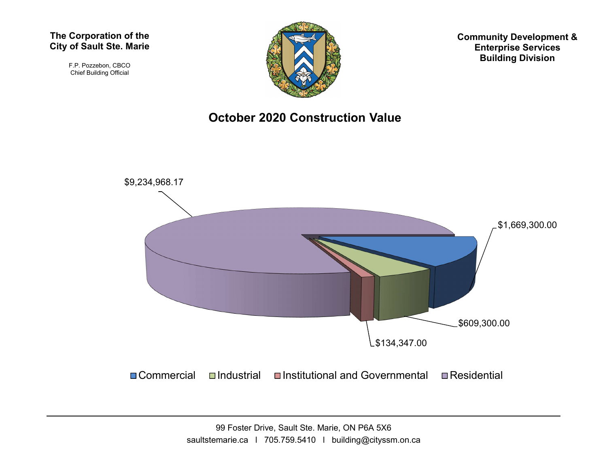#### The Corporation of the City of Sault Ste. Marie

F.P. Pozzebon, CBCO Chief Building Official



Community Development & Enterprise Services Building Division

### October 2020 Construction Value

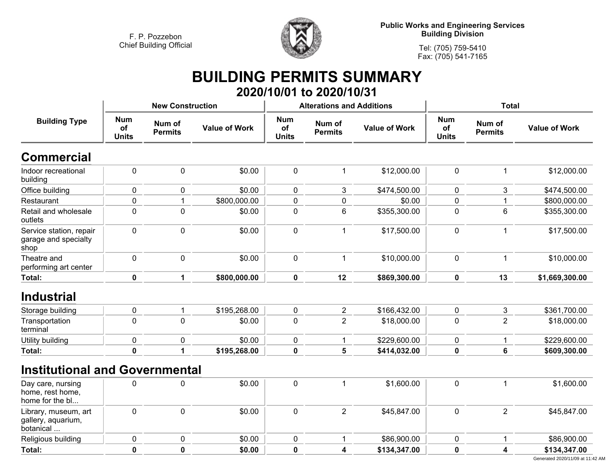

**Public Works and Engineering Services Building Division**

**Tel: (705) 759-5410 Fax: (705) 541-7165**

# **BUILDING PERMITS SUMMARY 2020/10/01 to 2020/10/31**

| <b>Building Type</b>                                     |                                  | <b>New Construction</b>  |                      |                                  | <b>Alterations and Additions</b> |                      | <b>Total</b>                     |                          |                      |
|----------------------------------------------------------|----------------------------------|--------------------------|----------------------|----------------------------------|----------------------------------|----------------------|----------------------------------|--------------------------|----------------------|
|                                                          | <b>Num</b><br>of<br><b>Units</b> | Num of<br><b>Permits</b> | <b>Value of Work</b> | <b>Num</b><br>of<br><b>Units</b> | Num of<br><b>Permits</b>         | <b>Value of Work</b> | <b>Num</b><br>of<br><b>Units</b> | Num of<br><b>Permits</b> | <b>Value of Work</b> |
| <b>Commercial</b>                                        |                                  |                          |                      |                                  |                                  |                      |                                  |                          |                      |
| Indoor recreational<br>building                          | $\mathbf 0$                      | $\pmb{0}$                | \$0.00               | $\pmb{0}$                        | $\mathbf 1$                      | \$12,000.00          | $\mathbf 0$                      | $\mathbf 1$              | \$12,000.00          |
| Office building                                          | $\mathbf 0$                      | 0                        | \$0.00               | 0                                | 3                                | \$474,500.00         | $\mathbf 0$                      | 3                        | \$474,500.00         |
| Restaurant                                               | 0                                | $\mathbf 1$              | \$800,000.00         | 0                                | $\pmb{0}$                        | \$0.00               | $\mathbf 0$                      | $\mathbf 1$              | \$800,000.00         |
| Retail and wholesale<br>outlets                          | 0                                | $\mathbf 0$              | \$0.00               | 0                                | 6                                | \$355,300.00         | $\mathbf 0$                      | 6                        | \$355,300.00         |
| Service station, repair<br>garage and specialty<br>shop  | 0                                | $\mathbf 0$              | \$0.00               | $\pmb{0}$                        | $\mathbf{1}$                     | \$17,500.00          | $\mathbf 0$                      | $\mathbf{1}$             | \$17,500.00          |
| Theatre and<br>performing art center                     | $\mathbf 0$                      | $\mathbf 0$              | \$0.00               | $\mathbf 0$                      | $\mathbf{1}$                     | \$10,000.00          | $\mathbf 0$                      | $\mathbf{1}$             | \$10,000.00          |
| Total:                                                   | $\pmb{0}$                        | 1                        | \$800,000.00         | $\mathbf 0$                      | 12                               | \$869,300.00         | $\mathbf 0$                      | 13                       | \$1,669,300.00       |
| <b>Industrial</b>                                        |                                  |                          |                      |                                  |                                  |                      |                                  |                          |                      |
| Storage building                                         | 0                                | $\mathbf{1}$             | \$195,268.00         | 0                                | $\overline{2}$                   | \$166,432.00         | $\mathbf 0$                      | 3                        | \$361,700.00         |
| Transportation<br>terminal                               | $\mathbf 0$                      | $\mathbf{0}$             | \$0.00               | 0                                | $\overline{2}$                   | \$18,000.00          | $\mathbf 0$                      | $\overline{2}$           | \$18,000.00          |
| Utility building                                         | 0                                | $\mathbf 0$              | \$0.00               | 0                                | $\mathbf{1}$                     | \$229,600.00         | $\mathbf 0$                      | $\mathbf 1$              | \$229,600.00         |
| Total:                                                   | $\mathbf 0$                      | 1                        | \$195,268.00         | $\mathbf 0$                      | 5                                | \$414,032.00         | $\mathbf 0$                      | $6\phantom{1}$           | \$609,300.00         |
| <b>Institutional and Governmental</b>                    |                                  |                          |                      |                                  |                                  |                      |                                  |                          |                      |
| Day care, nursing<br>home, rest home,<br>home for the bl | $\mathbf 0$                      | $\mathbf 0$              | \$0.00               | $\pmb{0}$                        | $\overline{1}$                   | \$1,600.00           | $\mathbf 0$                      | $\mathbf{1}$             | \$1,600.00           |
| Library, museum, art<br>gallery, aquarium,<br>botanical  | $\mathbf 0$                      | $\mathbf 0$              | \$0.00               | $\pmb{0}$                        | $\overline{2}$                   | \$45,847.00          | $\mathbf 0$                      | $\overline{2}$           | \$45,847.00          |
| Religious building                                       | 0                                | 0                        | \$0.00               | 0                                | -1                               | \$86,900.00          | 0                                | $\mathbf 1$              | \$86,900.00          |
| Total:                                                   | $\mathbf 0$                      | $\mathbf 0$              | \$0.00               | $\mathbf 0$                      | 4                                | \$134,347.00         | $\mathbf 0$                      | 4                        | \$134,347.00         |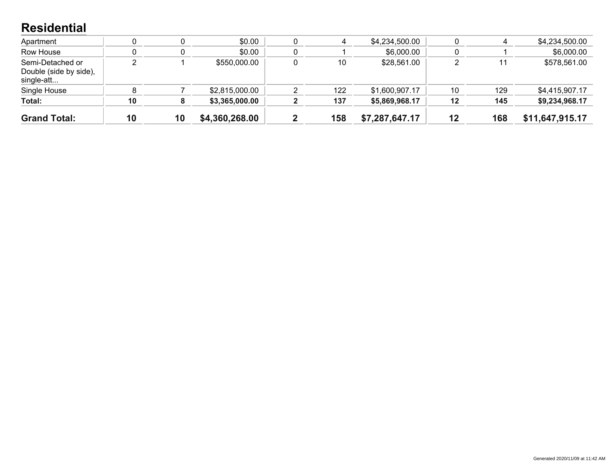### **Residential**

| <b>Grand Total:</b>                                      | 10 | 10 | \$4,360,268.00 | 158 | \$7,287,647.17 | 12 | 168 | \$11,647,915.17 |
|----------------------------------------------------------|----|----|----------------|-----|----------------|----|-----|-----------------|
| Total:                                                   | 10 |    | \$3,365,000.00 | 137 | \$5,869,968.17 | 12 | 145 | \$9,234,968.17  |
| Single House                                             |    |    | \$2,815,000.00 | 122 | \$1,600,907.17 | 10 | 129 | \$4,415,907.17  |
| Semi-Detached or<br>Double (side by side),<br>single-att |    |    | \$550,000.00   | 10  | \$28,561.00    |    |     | \$578,561.00    |
| Row House                                                |    |    | \$0.00         |     | \$6,000.00     |    |     | \$6,000.00      |
| Apartment                                                |    |    | \$0.00         |     | \$4,234,500.00 |    |     | \$4,234,500.00  |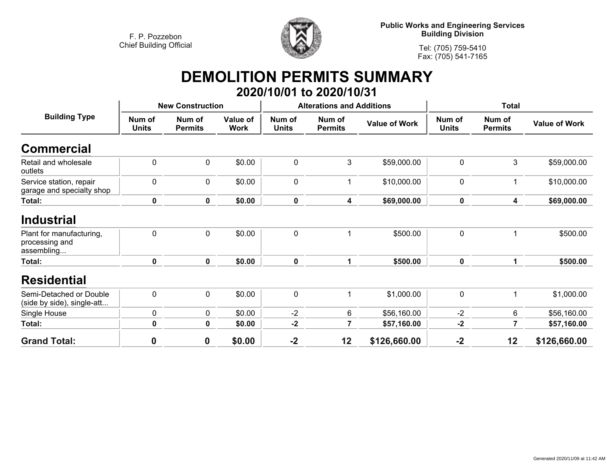

**Public Works and Engineering Services Building Division**

**Tel: (705) 759-5410 Fax: (705) 541-7165**

# **DEMOLITION PERMITS SUMMARY 2020/10/01 to 2020/10/31**

|                                                          |                        | <b>New Construction</b>  |                                |                        | <b>Alterations and Additions</b> |                      | <b>Total</b>           |                          |                      |
|----------------------------------------------------------|------------------------|--------------------------|--------------------------------|------------------------|----------------------------------|----------------------|------------------------|--------------------------|----------------------|
| <b>Building Type</b>                                     | Num of<br><b>Units</b> | Num of<br><b>Permits</b> | <b>Value of</b><br><b>Work</b> | Num of<br><b>Units</b> | Num of<br><b>Permits</b>         | <b>Value of Work</b> | Num of<br><b>Units</b> | Num of<br><b>Permits</b> | <b>Value of Work</b> |
| <b>Commercial</b>                                        |                        |                          |                                |                        |                                  |                      |                        |                          |                      |
| Retail and wholesale<br>outlets                          | $\overline{0}$         | $\mathbf 0$              | \$0.00                         | $\mathbf 0$            | 3                                | \$59,000.00          | $\mathbf 0$            | 3                        | \$59,000.00          |
| Service station, repair<br>garage and specialty shop     | $\mathbf 0$            | $\pmb{0}$                | \$0.00                         | $\mathbf 0$            |                                  | \$10,000.00          | 0                      | 1                        | \$10,000.00          |
| Total:                                                   | $\mathbf 0$            | $\mathbf 0$              | \$0.00                         | $\mathbf 0$            | 4                                | \$69,000.00          | $\mathbf 0$            | 4                        | \$69,000.00          |
| <b>Industrial</b>                                        |                        |                          |                                |                        |                                  |                      |                        |                          |                      |
| Plant for manufacturing,<br>processing and<br>assembling | $\mathbf 0$            | $\mathbf 0$              | \$0.00                         | $\mathbf 0$            | 1                                | \$500.00             | 0                      | 1                        | \$500.00             |
| Total:                                                   | $\mathbf 0$            | $\mathbf 0$              | \$0.00                         | $\mathbf 0$            | 1                                | \$500.00             | $\mathbf 0$            | 1                        | \$500.00             |
| <b>Residential</b>                                       |                        |                          |                                |                        |                                  |                      |                        |                          |                      |
| Semi-Detached or Double<br>(side by side), single-att    | $\mathbf 0$            | $\mathbf 0$              | \$0.00                         | $\mathbf 0$            | 1                                | \$1,000.00           | $\mathbf 0$            | 1                        | \$1,000.00           |
| Single House                                             | 0                      | 0                        | \$0.00                         | $-2$                   | 6                                | \$56,160.00          | $-2$                   | 6                        | \$56,160.00          |
| Total:                                                   | 0                      | 0                        | \$0.00                         | $-2$                   | 7                                | \$57,160.00          | $-2$                   | 7                        | \$57,160.00          |
| <b>Grand Total:</b>                                      | $\boldsymbol{0}$       | $\mathbf 0$              | \$0.00                         | $-2$                   | 12                               | \$126,660.00         | $-2$                   | 12                       | \$126,660.00         |